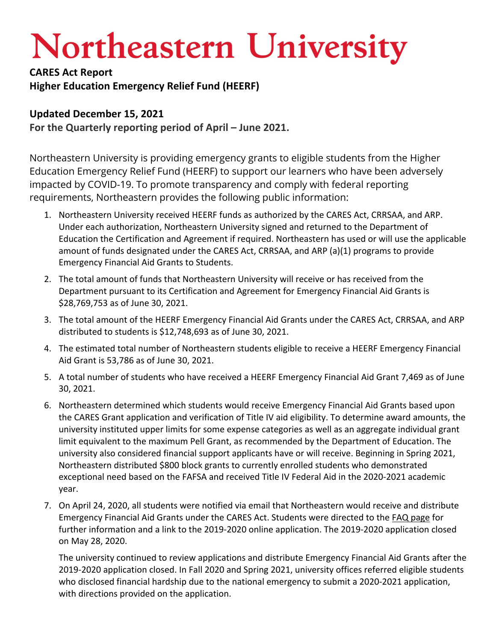## **Northeastern University**

**CARES Act Report Higher Education Emergency Relief Fund (HEERF)**

## **Updated December 15, 2021**

**For the Quarterly reporting period of April – June 2021.**

Northeastern University is providing emergency grants to eligible students from the Higher Education Emergency Relief Fund (HEERF) to support our learners who have been adversely impacted by COVID-19. To promote transparency and comply with federal reporting requirements, Northeastern provides the following public information:

- 1. Northeastern University received HEERF funds as authorized by the CARES Act, CRRSAA, and ARP. Under each authorization, Northeastern University signed and returned to the Department of Education the Certification and Agreement if required. Northeastern has used or will use the applicable amount of funds designated under the CARES Act, CRRSAA, and ARP (a)(1) programs to provide Emergency Financial Aid Grants to Students.
- 2. The total amount of funds that Northeastern University will receive or has received from the Department pursuant to its Certification and Agreement for Emergency Financial Aid Grants is \$28,769,753 as of June 30, 2021.
- 3. The total amount of the HEERF Emergency Financial Aid Grants under the CARES Act, CRRSAA, and ARP distributed to students is \$12,748,693 as of June 30, 2021.
- 4. The estimated total number of Northeastern students eligible to receive a HEERF Emergency Financial Aid Grant is 53,786 as of June 30, 2021.
- 5. A total number of students who have received a HEERF Emergency Financial Aid Grant 7,469 as of June 30, 2021.
- 6. Northeastern determined which students would receive Emergency Financial Aid Grants based upon the CARES Grant application and verification of Title IV aid eligibility. To determine award amounts, the university instituted upper limits for some expense categories as well as an aggregate individual grant limit equivalent to the maximum Pell Grant, as recommended by the Department of Education. The university also considered financial support applicants have or will receive. Beginning in Spring 2021, Northeastern distributed \$800 block grants to currently enrolled students who demonstrated exceptional need based on the FAFSA and received Title IV Federal Aid in the 2020-2021 academic year.
- 7. On April 24, 2020, all students were notified via email that Northeastern would receive and distribute Emergency Financial Aid Grants under the CARES Act. Students were directed to the FAQ page for further information and a link to the 2019-2020 online application. The 2019-2020 application closed on May 28, 2020.

The university continued to review applications and distribute Emergency Financial Aid Grants after the 2019-2020 application closed. In Fall 2020 and Spring 2021, university offices referred eligible students who disclosed financial hardship due to the national emergency to submit a 2020-2021 application, with directions provided on the application.